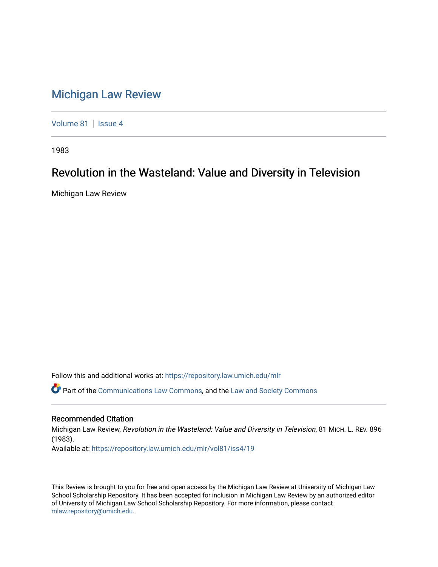## [Michigan Law Review](https://repository.law.umich.edu/mlr)

[Volume 81](https://repository.law.umich.edu/mlr/vol81) | [Issue 4](https://repository.law.umich.edu/mlr/vol81/iss4)

1983

## Revolution in the Wasteland: Value and Diversity in Television

Michigan Law Review

Follow this and additional works at: [https://repository.law.umich.edu/mlr](https://repository.law.umich.edu/mlr?utm_source=repository.law.umich.edu%2Fmlr%2Fvol81%2Fiss4%2F19&utm_medium=PDF&utm_campaign=PDFCoverPages) 

Part of the [Communications Law Commons,](http://network.bepress.com/hgg/discipline/587?utm_source=repository.law.umich.edu%2Fmlr%2Fvol81%2Fiss4%2F19&utm_medium=PDF&utm_campaign=PDFCoverPages) and the [Law and Society Commons](http://network.bepress.com/hgg/discipline/853?utm_source=repository.law.umich.edu%2Fmlr%2Fvol81%2Fiss4%2F19&utm_medium=PDF&utm_campaign=PDFCoverPages) 

## Recommended Citation

Michigan Law Review, Revolution in the Wasteland: Value and Diversity in Television, 81 MICH. L. REV. 896 (1983). Available at: [https://repository.law.umich.edu/mlr/vol81/iss4/19](https://repository.law.umich.edu/mlr/vol81/iss4/19?utm_source=repository.law.umich.edu%2Fmlr%2Fvol81%2Fiss4%2F19&utm_medium=PDF&utm_campaign=PDFCoverPages) 

This Review is brought to you for free and open access by the Michigan Law Review at University of Michigan Law School Scholarship Repository. It has been accepted for inclusion in Michigan Law Review by an authorized editor of University of Michigan Law School Scholarship Repository. For more information, please contact [mlaw.repository@umich.edu.](mailto:mlaw.repository@umich.edu)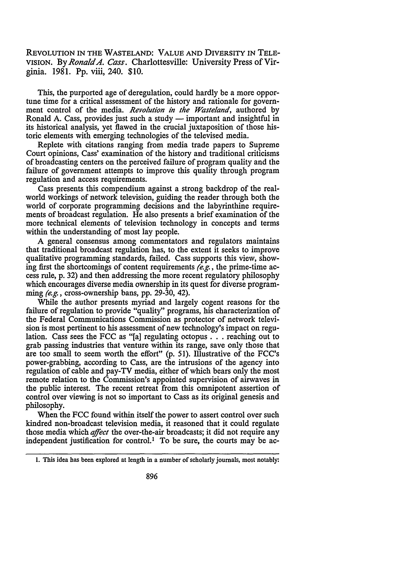REVOLUTION IN THE WASTELAND: VALUE AND DIVERSITY IN TELE-VISION. By *Ronald A. Cass.* Charlottesville: University Press of Virginia. 1981. Pp. viii, 240. \$10.

This, the purported age of deregulation, could hardly be a more opportune time for a critical assessment of the history and rationale for government control of the media. *Revolution in the Wasteland,* authored by Ronald A. Cass, provides just such a study  $-$  important and insightful in its historical analysis, yet flawed in the crucial juxtaposition of those historic elements with emerging technologies of the televised media.

Replete with citations ranging from media trade papers to Supreme Court opinions, Cass' examination of the history and traditional criticisms of broadcasting centers on the perceived failure of program quality and the failure of government attempts to improve this quality through program regulation and access requirements.

Cass presents this compendium against a strong backdrop of the realworld workings of network television, guiding the reader through both the world of corporate programming decisions and the labyrinthine requirements of broadcast regulation. He also presents a brief examination of the more technical elements of television technology in concepts and terms within the understanding of most lay people.

A general consensus among commentators and regulators maintains that traditional broadcast regulation has, to the extent it seeks to improve qualitative programming standards, failed. Cass supports this view, showing first the shortcomings of content requirements *(e.g.* , the prime-time access rule, p. 32) and then addressing the more recent regulatory philosophy which encourages diverse media ownership in its quest for diverse programming *(e.g.* , cross-ownership bans, pp. 29-30, 42).

While the author presents myriad and largely cogent reasons for the failure of regulation to provide "quality" programs, his characterization of the Federal Communications Commission as protector of network television is most pertinent to his assessment of new technology's impact on regulation. Cass sees the FCC as "[a] regulating octopus ... reaching out to grab passing industries that venture within its range, save only those that are too small to seem worth the effort" (p. 51). Illustrative of the FCC's power-grabbing, according to Cass, are the intrusions of the agency into regulation of cable and pay-TV media, either of which bears only the most remote relation to the Commission's appointed supervision of airwaves in the public interest. The recent retreat from this omnipotent assertion of control over viewing is not so important to Cass as its original genesis and philosophy.

When the FCC found within itself the power to assert control over such kindred non-broadcast television media, it reasoned that it could regulate those media which *ajfect* the over-the-air broadcasts; it did not require any independent justification for control.<sup>1</sup> To be sure, the courts may be ac-

<sup>1.</sup> This idea has been explored at length in a number of scholarly journals, most notably: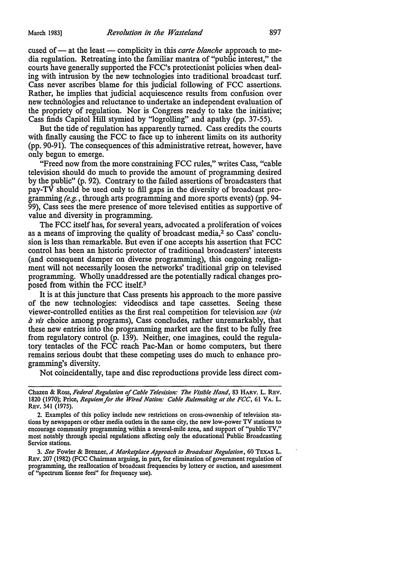cused of — at the least — complicity in this *carte blanche* approach to media regulation. Retreating into the familiar mantra of "public interest," the courts have generally supported the FCC's protectionist policies when dealing with intrusion by the new technologies into traditional broadcast turf. Cass never ascribes blame for this judicial following of FCC assertions. Rather, he implies that judicial acquiescence results from confusion over new technologies and reluctance to undertake an independent evaluation of the propriety of regulation. Nor is Congress ready to take the initiative; Cass finds Capitol Hill stymied by "logrolling" and apathy (pp. 37-55).

But the tide of regulation has apparently turned. Cass credits the courts with finally causing the FCC to face up to inherent limits on its authority (pp. 90-91). The consequences of this administrative retreat, however, have only begun to emerge.

"Freed now from the more constraining FCC rules," writes Cass, "cable television should do much to provide the amount of programming desired by the public" (p. 92). Contrary to the failed assertions of broadcasters that pay-TV should be used only to fill gaps in the diversity of broadcast programming *(e.g.,* through arts programming and more sports events) (pp. 94- 99), Cass sees the mere presence of more televised entities as supportive of value and diversity in programming.

The FCC itself has, for several years, advocated a proliferation of voices as a means of improving the quality of broadcast media,2 so Cass' conclusion is less than remarkable. But even if one accepts his assertion that FCC control has been an historic protector of traditional broadcasters' interests (and consequent damper on diverse programming), this ongoing realignment will not necessarily loosen the networks' traditional grip on televised programming. Wholly unaddressed are the potentially radical changes proposed from within the FCC itself.<sup>3</sup>

It is at this juncture that Cass presents his approach to the more passive of the new technologies: videodiscs and tape cassettes. Seeing these viewer-controlled entities as the first real competition for television *use (vis*  a *vis* choice among programs), Cass concludes, rather unremarkably, that these new entries into the programming market are the first to be fully free from regulatory control (p. 139). Neither, one imagines, could the regulatory tentacles of the FCC reach Pac-Man or home computers, but there remains serious doubt that these competing uses do much to enhance programming's diversity.

Not coincidentally, tape and disc reproductions provide less direct com-

3. *See* Fowler & Brenner, *A Marketplace Approach lo Broadcast Regulation,* 60 TEXAS L. REv. 207 (1982) (FCC Chairman arguing, in part, for elimination of government regulation of programming, the reallocation of broadcast frequencies by lottery or auction, and assessment of "spectrum license fees" for frequency use).

Cbazen & Ross, *Federal Regulation of Cable Television: The Visible Hand,* 83 HARV. L. REV. 1820 (1970); Price, *Requiem for the Wired Nation: Cable Rulemaking al the FCC,* 61 VA. L. REV. 541 {1975).

<sup>2.</sup> Examples of this policy include new restrictions on cross-ownership of television stations by newspapers or other media outlets in the same city, the new low-power TV stations to encourage community programming within a several-mile area, and support of "public TV," most notably through special regulations affecting only the educational Public Broadcasting Service stations.